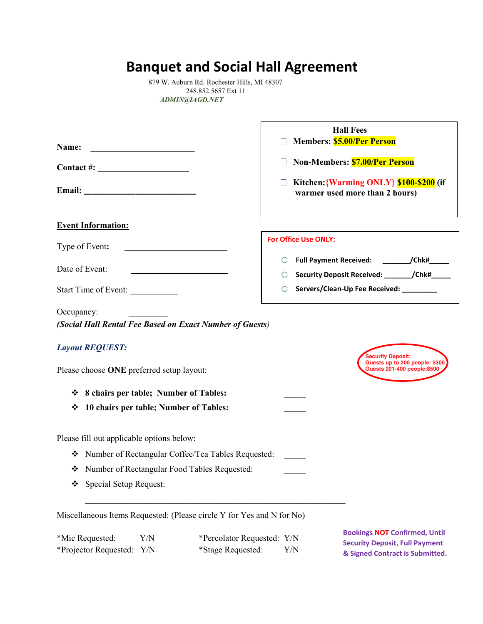## **Banquet and Social Hall Agreement**

879 W. Auburn Rd. Rochester Hills, MI 48307 248.852.5657 Ext 11 *ADMIN@IAGD.NET*

| Name:<br><u> 1980 - Johann Barn, mars ann an t-Amhair an t-Amhair ann an t-Amhair an t-Amhair ann an t-Amhair ann an t-A</u> | <b>Hall Fees</b><br><b>Members: \$5.00/Per Person</b>                                            |
|------------------------------------------------------------------------------------------------------------------------------|--------------------------------------------------------------------------------------------------|
| Contact #: $\qquad \qquad$                                                                                                   | Non-Members: <b>\$7.00/Per Person</b>                                                            |
|                                                                                                                              | Kitchen: {Warming ONLY} \$100-\$200 (if<br>warmer used more than 2 hours)                        |
| <b>Event Information:</b>                                                                                                    |                                                                                                  |
| Type of Event:                                                                                                               | <b>For Office Use ONLY:</b>                                                                      |
|                                                                                                                              | Full Payment Received: ____________/Chk#______                                                   |
| Date of Event:                                                                                                               | Security Deposit Received: _______/Chk#_____<br>O                                                |
| Start Time of Event:                                                                                                         | Servers/Clean-Up Fee Received: ________<br>O                                                     |
| Occupancy:                                                                                                                   |                                                                                                  |
| (Social Hall Rental Fee Based on Exact Number of Guests)                                                                     |                                                                                                  |
| <b>Layout REQUEST:</b>                                                                                                       |                                                                                                  |
| Please choose ONE preferred setup layout:                                                                                    | <b>Security Deposit:</b><br>Guests up to 200 people: \$300<br><b>Guests 201-400 people:\$500</b> |
| ❖ 8 chairs per table; Number of Tables:                                                                                      |                                                                                                  |
| 10 chairs per table; Number of Tables:<br>❖                                                                                  |                                                                                                  |
| Please fill out applicable options below:                                                                                    |                                                                                                  |
| Number of Rectangular Coffee/Tea Tables Requested:<br>❖                                                                      |                                                                                                  |
| Number of Rectangular Food Tables Requested:<br>❖                                                                            |                                                                                                  |
| Special Setup Request:<br>❖                                                                                                  |                                                                                                  |
| Miscellaneous Items Requested: (Please circle Y for Yes and N for No)                                                        |                                                                                                  |
| Y/N<br>*Percolator Requested: Y/N<br>*Mic Requested:                                                                         | <b>Bookings NOT Confirmed, Until</b><br><b>Security Deposit, Full Payment</b>                    |

\*Projector Requested: Y/N \*Stage Requested: Y/N

**& Signed Contract is Submitted.**